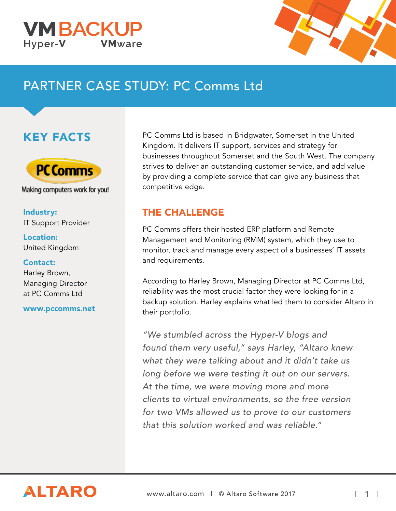



# PARTNER CASE STUDY: PC Comms Ltd

## KEY FACTS



Making computers work for you!

#### Industry: IT Support Provider

Location: United Kingdom

#### Contact:

Harley Brown, Managing Director at PC Comms Ltd

www.pccomms.net

PC Comms Ltd is based in Bridgwater, Somerset in the United Kingdom. It delivers IT support, services and strategy for businesses throughout Somerset and the South West. The company strives to deliver an outstanding customer service, and add value by providing a complete service that can give any business that competitive edge.

### THE CHALLENGE

PC Comms offers their hosted ERP platform and Remote Management and Monitoring (RMM) system, which they use to monitor, track and manage every aspect of a businesses' IT assets and requirements.

According to Harley Brown, Managing Director at PC Comms Ltd, reliability was the most crucial factor they were looking for in a backup solution. Harley explains what led them to consider Altaro in their portfolio.

"We stumbled across the Hyper-V blogs and found them very useful," says Harley, "Altaro knew what they were talking about and it didn't take us long before we were testing it out on our servers. At the time, we were moving more and more clients to virtual environments, so the free version for two VMs allowed us to prove to our customers that this solution worked and was reliable."